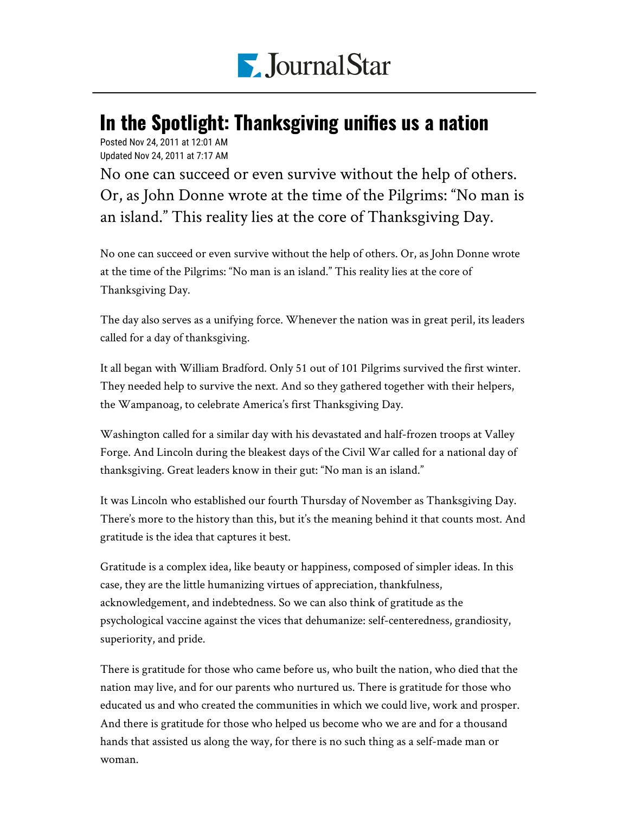

## In the Spotlight: Thanksgiving unifies us a nation

Posted Nov 24, 2011 at 12:01 AM Updated Nov 24, 2011 at 7:17 AM

No one can succeed or even survive without the help of others. Or, as John Donne wrote at the time of the Pilgrims: "No man is an island." This reality lies at the core of Thanksgiving Day.

No one can succeed or even survive without the help of others. Or, as John Donne wrote at the time of the Pilgrims: "No man is an island." This reality lies at the core of Thanksgiving Day.

The day also serves as a unifying force. Whenever the nation was in great peril, its leaders called for a day of thanksgiving.

It all began with William Bradford. Only 51 out of 101 Pilgrims survived the first winter. They needed help to survive the next. And so they gathered together with their helpers, the Wampanoag, to celebrate America's first Thanksgiving Day.

Washington called for a similar day with his devastated and half-frozen troops at Valley Forge. And Lincoln during the bleakest days of the Civil War called for a national day of thanksgiving. Great leaders know in their gut: "No man is an island."

It was Lincoln who established our fourth Thursday of November as Thanksgiving Day. There's more to the history than this, but it's the meaning behind it that counts most. And gratitude is the idea that captures it best.

Gratitude is a complex idea, like beauty or happiness, composed of simpler ideas. In this case, they are the little humanizing virtues of appreciation, thankfulness, acknowledgement, and indebtedness. So we can also think of gratitude as the psychological vaccine against the vices that dehumanize: self-centeredness, grandiosity, superiority, and pride.

There is gratitude for those who came before us, who built the nation, who died that the nation may live, and for our parents who nurtured us. There is gratitude for those who educated us and who created the communities in which we could live, work and prosper. And there is gratitude for those who helped us become who we are and for a thousand hands that assisted us along the way, for there is no such thing as a self-made man or woman.